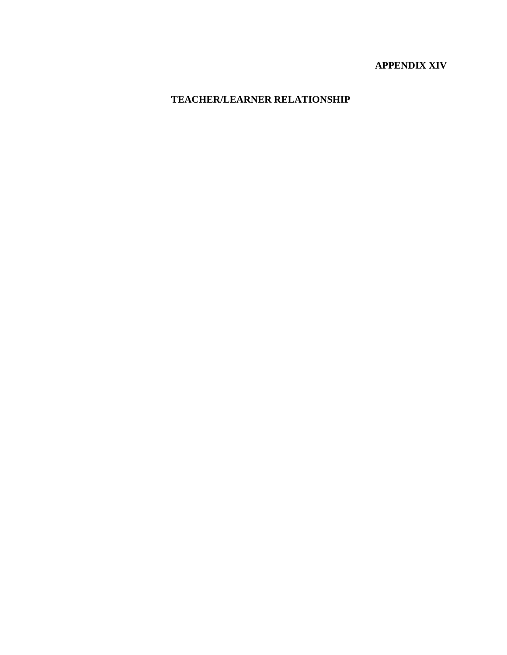# **APPENDIX XIV**

# **TEACHER/LEARNER RELATIONSHIP**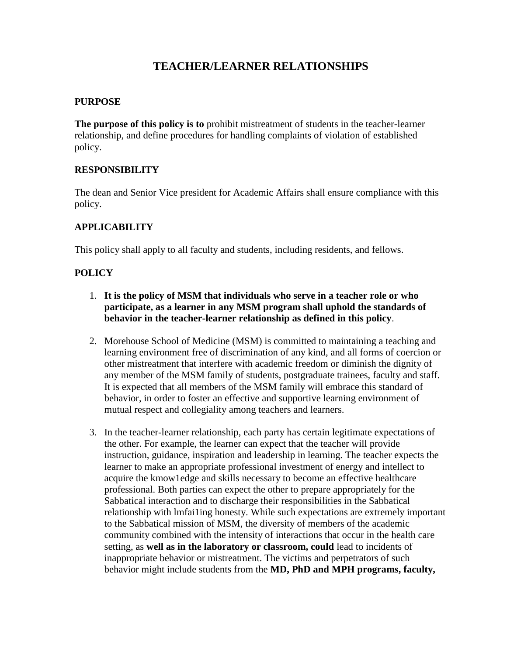# **TEACHER/LEARNER RELATIONSHIPS**

#### **PURPOSE**

**The purpose of this policy is to** prohibit mistreatment of students in the teacher-learner relationship, and define procedures for handling complaints of violation of established policy.

#### **RESPONSIBILITY**

The dean and Senior Vice president for Academic Affairs shall ensure compliance with this policy.

#### **APPLICABILITY**

This policy shall apply to all faculty and students, including residents, and fellows.

# **POLICY**

- 1. **It is the policy of MSM that individuals who serve in a teacher role or who participate, as a learner in any MSM program shall uphold the standards of behavior in the teacher-learner relationship as defined in this policy**.
- 2. Morehouse School of Medicine (MSM) is committed to maintaining a teaching and learning environment free of discrimination of any kind, and all forms of coercion or other mistreatment that interfere with academic freedom or diminish the dignity of any member of the MSM family of students, postgraduate trainees, faculty and staff. It is expected that all members of the MSM family will embrace this standard of behavior, in order to foster an effective and supportive learning environment of mutual respect and collegiality among teachers and learners.
- 3. In the teacher-learner relationship, each party has certain legitimate expectations of the other. For example, the learner can expect that the teacher will provide instruction, guidance, inspiration and leadership in learning. The teacher expects the learner to make an appropriate professional investment of energy and intellect to acquire the kmow1edge and skills necessary to become an effective healthcare professional. Both parties can expect the other to prepare appropriately for the Sabbatical interaction and to discharge their responsibilities in the Sabbatical relationship with lmfai1ing honesty. While such expectations are extremely important to the Sabbatical mission of MSM, the diversity of members of the academic community combined with the intensity of interactions that occur in the health care setting, as **well as in the laboratory or classroom, could** lead to incidents of inappropriate behavior or mistreatment. The victims and perpetrators of such behavior might include students from the **MD, PhD and MPH programs, faculty,**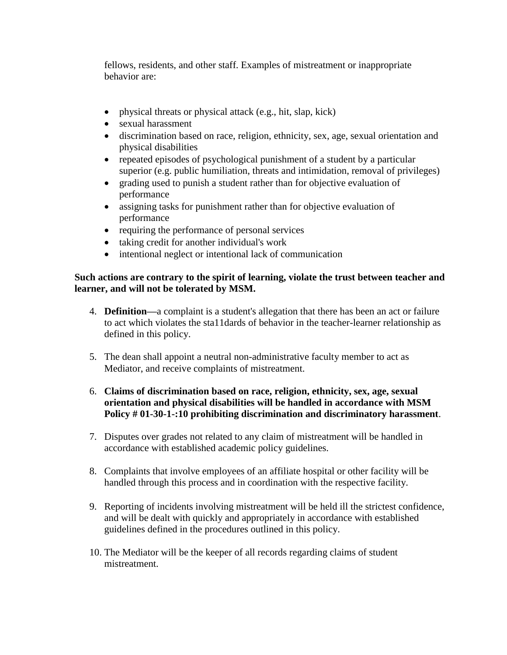fellows, residents, and other staff. Examples of mistreatment or inappropriate behavior are:

- physical threats or physical attack (e.g., hit, slap, kick)
- sexual harassment
- discrimination based on race, religion, ethnicity, sex, age, sexual orientation and physical disabilities
- repeated episodes of psychological punishment of a student by a particular superior (e.g. public humiliation, threats and intimidation, removal of privileges)
- grading used to punish a student rather than for objective evaluation of performance
- assigning tasks for punishment rather than for objective evaluation of performance
- requiring the performance of personal services
- taking credit for another individual's work
- intentional neglect or intentional lack of communication

### **Such actions are contrary to the spirit of learning, violate the trust between teacher and learner, and will not be tolerated by MSM.**

- 4. **Definition—**a complaint is a student's allegation that there has been an act or failure to act which violates the sta11dards of behavior in the teacher-learner relationship as defined in this policy.
- 5. The dean shall appoint a neutral non-administrative faculty member to act as Mediator, and receive complaints of mistreatment.
- 6. **Claims of discrimination based on race, religion, ethnicity, sex, age, sexual orientation and physical disabilities will be handled in accordance with MSM Policy # 01-30-1-:10 prohibiting discrimination and discriminatory harassment**.
- 7. Disputes over grades not related to any claim of mistreatment will be handled in accordance with established academic policy guidelines.
- 8. Complaints that involve employees of an affiliate hospital or other facility will be handled through this process and in coordination with the respective facility.
- 9. Reporting of incidents involving mistreatment will be held ill the strictest confidence, and will be dealt with quickly and appropriately in accordance with established guidelines defined in the procedures outlined in this policy.
- 10. The Mediator will be the keeper of all records regarding claims of student mistreatment.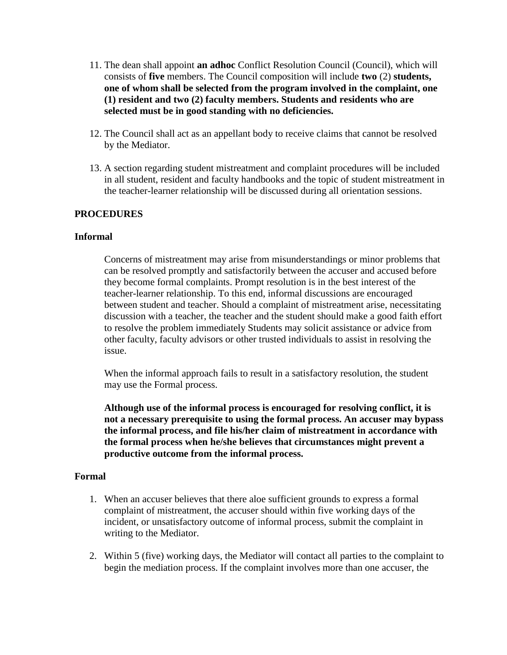- 11. The dean shall appoint **an adhoc** Conflict Resolution Council (Council), which will consists of **five** members. The Council composition will include **two** (2) **students, one of whom shall be selected from the program involved in the complaint, one (1) resident and two (2) faculty members. Students and residents who are selected must be in good standing with no deficiencies.**
- 12. The Council shall act as an appellant body to receive claims that cannot be resolved by the Mediator.
- 13. A section regarding student mistreatment and complaint procedures will be included in all student, resident and faculty handbooks and the topic of student mistreatment in the teacher-learner relationship will be discussed during all orientation sessions.

## **PROCEDURES**

#### **Informal**

Concerns of mistreatment may arise from misunderstandings or minor problems that can be resolved promptly and satisfactorily between the accuser and accused before they become formal complaints. Prompt resolution is in the best interest of the teacher-learner relationship. To this end, informal discussions are encouraged between student and teacher. Should a complaint of mistreatment arise, necessitating discussion with a teacher, the teacher and the student should make a good faith effort to resolve the problem immediately Students may solicit assistance or advice from other faculty, faculty advisors or other trusted individuals to assist in resolving the issue.

When the informal approach fails to result in a satisfactory resolution, the student may use the Formal process.

**Although use of the informal process is encouraged for resolving conflict, it is not a necessary prerequisite to using the formal process. An accuser may bypass the informal process, and file his/her claim of mistreatment in accordance with the formal process when he/she believes that circumstances might prevent a productive outcome from the informal process.** 

#### **Formal**

- 1. When an accuser believes that there aloe sufficient grounds to express a formal complaint of mistreatment, the accuser should within five working days of the incident, or unsatisfactory outcome of informal process, submit the complaint in writing to the Mediator.
- 2. Within 5 (five) working days, the Mediator will contact all parties to the complaint to begin the mediation process. If the complaint involves more than one accuser, the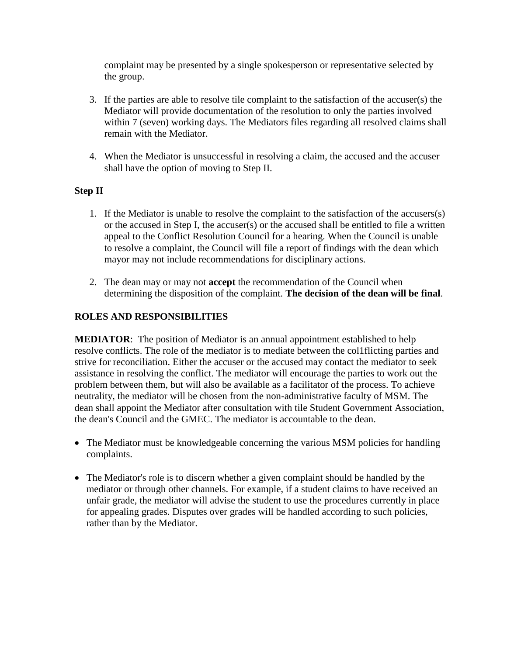complaint may be presented by a single spokesperson or representative selected by the group.

- 3. If the parties are able to resolve tile complaint to the satisfaction of the accuser(s) the Mediator will provide documentation of the resolution to only the parties involved within 7 (seven) working days. The Mediators files regarding all resolved claims shall remain with the Mediator.
- 4. When the Mediator is unsuccessful in resolving a claim, the accused and the accuser shall have the option of moving to Step II.

# **Step II**

- 1. If the Mediator is unable to resolve the complaint to the satisfaction of the accusers(s) or the accused in Step I, the accuser(s) or the accused shall be entitled to file a written appeal to the Conflict Resolution Council for a hearing. When the Council is unable to resolve a complaint, the Council will file a report of findings with the dean which mayor may not include recommendations for disciplinary actions.
- 2. The dean may or may not **accept** the recommendation of the Council when determining the disposition of the complaint. **The decision of the dean will be final**.

## **ROLES AND RESPONSIBILITIES**

**MEDIATOR**: The position of Mediator is an annual appointment established to help resolve conflicts. The role of the mediator is to mediate between the col1flicting parties and strive for reconciliation. Either the accuser or the accused may contact the mediator to seek assistance in resolving the conflict. The mediator will encourage the parties to work out the problem between them, but will also be available as a facilitator of the process. To achieve neutrality, the mediator will be chosen from the non-administrative faculty of MSM. The dean shall appoint the Mediator after consultation with tile Student Government Association, the dean's Council and the GMEC. The mediator is accountable to the dean.

- The Mediator must be knowledgeable concerning the various MSM policies for handling complaints.
- The Mediator's role is to discern whether a given complaint should be handled by the mediator or through other channels. For example, if a student claims to have received an unfair grade, the mediator will advise the student to use the procedures currently in place for appealing grades. Disputes over grades will be handled according to such policies, rather than by the Mediator.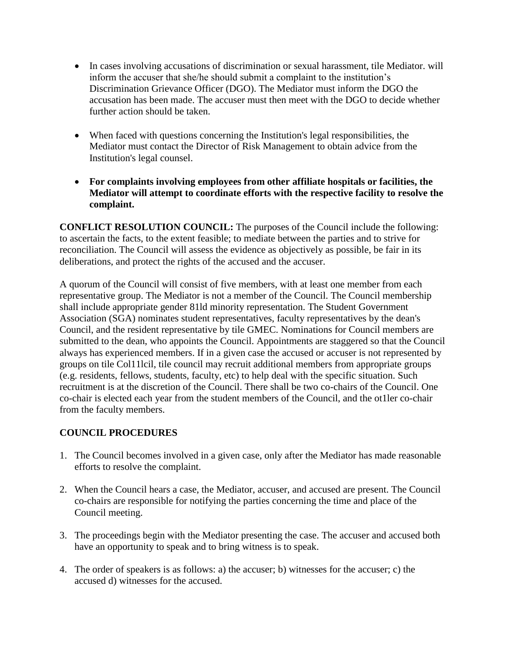- In cases involving accusations of discrimination or sexual harassment, tile Mediator. will inform the accuser that she/he should submit a complaint to the institution's Discrimination Grievance Officer (DGO). The Mediator must inform the DGO the accusation has been made. The accuser must then meet with the DGO to decide whether further action should be taken.
- When faced with questions concerning the Institution's legal responsibilities, the Mediator must contact the Director of Risk Management to obtain advice from the Institution's legal counsel.
- **For complaints involving employees from other affiliate hospitals or facilities, the Mediator will attempt to coordinate efforts with the respective facility to resolve the complaint.**

**CONFLICT RESOLUTION COUNCIL:** The purposes of the Council include the following: to ascertain the facts, to the extent feasible; to mediate between the parties and to strive for reconciliation. The Council will assess the evidence as objectively as possible, be fair in its deliberations, and protect the rights of the accused and the accuser.

A quorum of the Council will consist of five members, with at least one member from each representative group. The Mediator is not a member of the Council. The Council membership shall include appropriate gender 81ld minority representation. The Student Government Association (SGA) nominates student representatives, faculty representatives by the dean's Council, and the resident representative by tile GMEC. Nominations for Council members are submitted to the dean, who appoints the Council. Appointments are staggered so that the Council always has experienced members. If in a given case the accused or accuser is not represented by groups on tile Col11lcil, tile council may recruit additional members from appropriate groups (e.g. residents, fellows, students, faculty, etc) to help deal with the specific situation. Such recruitment is at the discretion of the Council. There shall be two co-chairs of the Council. One co-chair is elected each year from the student members of the Council, and the ot1ler co-chair from the faculty members.

#### **COUNCIL PROCEDURES**

- 1. The Council becomes involved in a given case, only after the Mediator has made reasonable efforts to resolve the complaint.
- 2. When the Council hears a case, the Mediator, accuser, and accused are present. The Council co-chairs are responsible for notifying the parties concerning the time and place of the Council meeting.
- 3. The proceedings begin with the Mediator presenting the case. The accuser and accused both have an opportunity to speak and to bring witness is to speak.
- 4. The order of speakers is as follows: a) the accuser; b) witnesses for the accuser; c) the accused d) witnesses for the accused.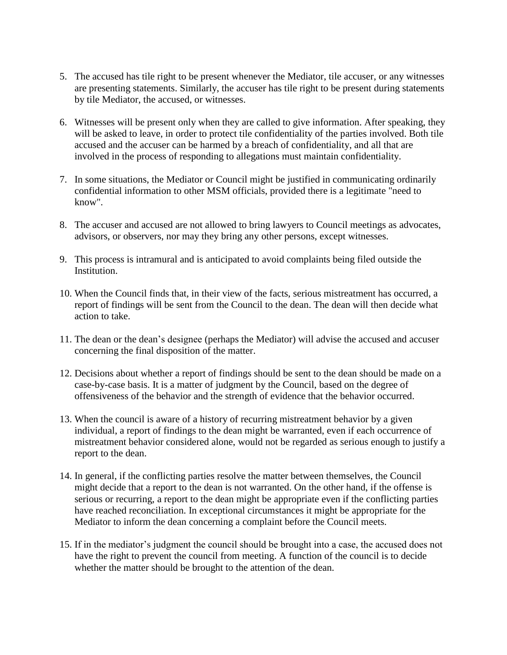- 5. The accused has tile right to be present whenever the Mediator, tile accuser, or any witnesses are presenting statements. Similarly, the accuser has tile right to be present during statements by tile Mediator, the accused, or witnesses.
- 6. Witnesses will be present only when they are called to give information. After speaking, they will be asked to leave, in order to protect tile confidentiality of the parties involved. Both tile accused and the accuser can be harmed by a breach of confidentiality, and all that are involved in the process of responding to allegations must maintain confidentiality.
- 7. In some situations, the Mediator or Council might be justified in communicating ordinarily confidential information to other MSM officials, provided there is a legitimate "need to know".
- 8. The accuser and accused are not allowed to bring lawyers to Council meetings as advocates, advisors, or observers, nor may they bring any other persons, except witnesses.
- 9. This process is intramural and is anticipated to avoid complaints being filed outside the Institution.
- 10. When the Council finds that, in their view of the facts, serious mistreatment has occurred, a report of findings will be sent from the Council to the dean. The dean will then decide what action to take.
- 11. The dean or the dean's designee (perhaps the Mediator) will advise the accused and accuser concerning the final disposition of the matter.
- 12. Decisions about whether a report of findings should be sent to the dean should be made on a case-by-case basis. It is a matter of judgment by the Council, based on the degree of offensiveness of the behavior and the strength of evidence that the behavior occurred.
- 13. When the council is aware of a history of recurring mistreatment behavior by a given individual, a report of findings to the dean might be warranted, even if each occurrence of mistreatment behavior considered alone, would not be regarded as serious enough to justify a report to the dean.
- 14. In general, if the conflicting parties resolve the matter between themselves, the Council might decide that a report to the dean is not warranted. On the other hand, if the offense is serious or recurring, a report to the dean might be appropriate even if the conflicting parties have reached reconciliation. In exceptional circumstances it might be appropriate for the Mediator to inform the dean concerning a complaint before the Council meets.
- 15. If in the mediator's judgment the council should be brought into a case, the accused does not have the right to prevent the council from meeting. A function of the council is to decide whether the matter should be brought to the attention of the dean.